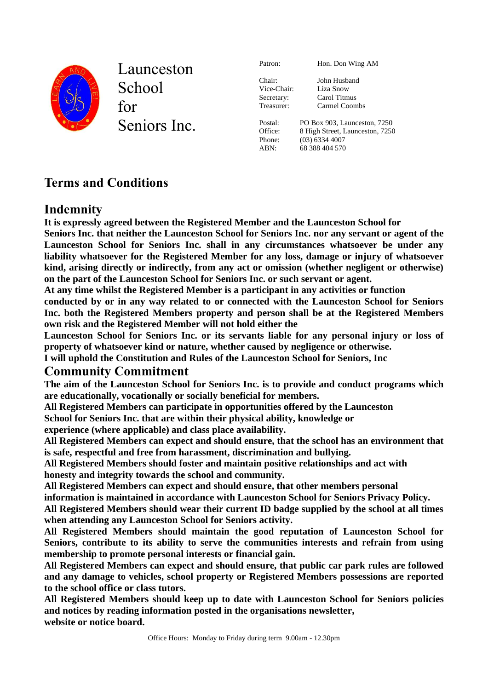

Launceston **School** for Seniors Inc. Patron: Hon. Don Wing AM Chair: John Husband Vice-Chair: Liza Snow Secretary: Carol Titmus Treasurer: Carmel Coombs Postal: PO Box 903, Launceston, 7250 Office: 8 High Street, Launceston, 7250 Phone: (03) 6334 4007 ABN: 68 388 404 570

# **Terms and Conditions**

# **Indemnity**

**It is expressly agreed between the Registered Member and the Launceston School for Seniors Inc. that neither the Launceston School for Seniors Inc. nor any servant or agent of the Launceston School for Seniors Inc. shall in any circumstances whatsoever be under any liability whatsoever for the Registered Member for any loss, damage or injury of whatsoever kind, arising directly or indirectly, from any act or omission (whether negligent or otherwise) on the part of the Launceston School for Seniors Inc. or such servant or agent.**

**At any time whilst the Registered Member is a participant in any activities or function**

**conducted by or in any way related to or connected with the Launceston School for Seniors Inc. both the Registered Members property and person shall be at the Registered Members own risk and the Registered Member will not hold either the**

**Launceston School for Seniors Inc. or its servants liable for any personal injury or loss of property of whatsoever kind or nature, whether caused by negligence or otherwise.**

**I will uphold the Constitution and Rules of the Launceston School for Seniors, Inc**

### **Community Commitment**

**The aim of the Launceston School for Seniors Inc. is to provide and conduct programs which are educationally, vocationally or socially beneficial for members.**

**All Registered Members can participate in opportunities offered by the Launceston**

**School for Seniors Inc. that are within their physical ability, knowledge or**

**experience (where applicable) and class place availability.**

**All Registered Members can expect and should ensure, that the school has an environment that is safe, respectful and free from harassment, discrimination and bullying.**

**All Registered Members should foster and maintain positive relationships and act with honesty and integrity towards the school and community.** 

**All Registered Members can expect and should ensure, that other members personal** 

**information is maintained in accordance with Launceston School for Seniors Privacy Policy.** 

**All Registered Members should wear their current ID badge supplied by the school at all times when attending any Launceston School for Seniors activity.**

**All Registered Members should maintain the good reputation of Launceston School for Seniors, contribute to its ability to serve the communities interests and refrain from using membership to promote personal interests or financial gain.**

**All Registered Members can expect and should ensure, that public car park rules are followed and any damage to vehicles, school property or Registered Members possessions are reported to the school office or class tutors.** 

**All Registered Members should keep up to date with Launceston School for Seniors policies and notices by reading information posted in the organisations newsletter, website or notice board.**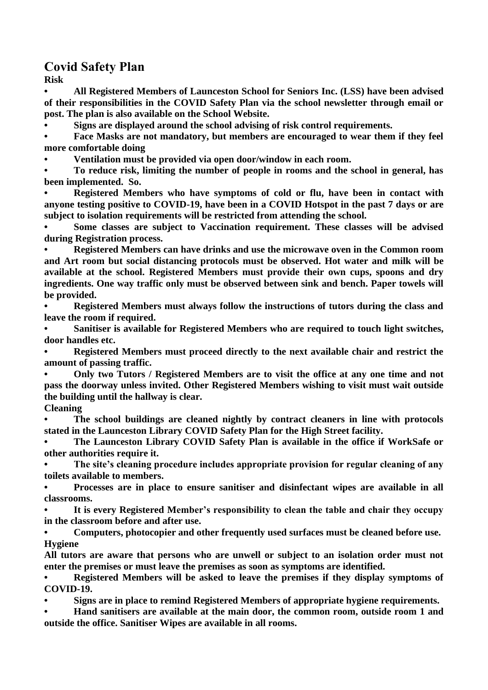## **Covid Safety Plan**

**Risk**

**• All Registered Members of Launceston School for Seniors Inc. (LSS) have been advised of their responsibilities in the COVID Safety Plan via the school newsletter through email or post. The plan is also available on the School Website.**

**• Signs are displayed around the school advising of risk control requirements.**

**• Face Masks are not mandatory, but members are encouraged to wear them if they feel more comfortable doing**

**• Ventilation must be provided via open door/window in each room.**

**• To reduce risk, limiting the number of people in rooms and the school in general, has been implemented. So.**

**• Registered Members who have symptoms of cold or flu, have been in contact with anyone testing positive to COVID-19, have been in a COVID Hotspot in the past 7 days or are subject to isolation requirements will be restricted from attending the school.**

**• Some classes are subject to Vaccination requirement. These classes will be advised during Registration process.** 

**• Registered Members can have drinks and use the microwave oven in the Common room and Art room but social distancing protocols must be observed. Hot water and milk will be available at the school. Registered Members must provide their own cups, spoons and dry ingredients. One way traffic only must be observed between sink and bench. Paper towels will be provided.**

**• Registered Members must always follow the instructions of tutors during the class and leave the room if required.**

**• Sanitiser is available for Registered Members who are required to touch light switches, door handles etc.** 

**• Registered Members must proceed directly to the next available chair and restrict the amount of passing traffic.**

**• Only two Tutors / Registered Members are to visit the office at any one time and not pass the doorway unless invited. Other Registered Members wishing to visit must wait outside the building until the hallway is clear.**

#### **Cleaning**

**• The school buildings are cleaned nightly by contract cleaners in line with protocols stated in the Launceston Library COVID Safety Plan for the High Street facility.**

**• The Launceston Library COVID Safety Plan is available in the office if WorkSafe or other authorities require it.**

**• The site's cleaning procedure includes appropriate provision for regular cleaning of any toilets available to members.**

**• Processes are in place to ensure sanitiser and disinfectant wipes are available in all classrooms.**

**• It is every Registered Member's responsibility to clean the table and chair they occupy in the classroom before and after use.**

**• Computers, photocopier and other frequently used surfaces must be cleaned before use. Hygiene**

**All tutors are aware that persons who are unwell or subject to an isolation order must not enter the premises or must leave the premises as soon as symptoms are identified.**

**• Registered Members will be asked to leave the premises if they display symptoms of COVID-19.**

**• Signs are in place to remind Registered Members of appropriate hygiene requirements.**

**• Hand sanitisers are available at the main door, the common room, outside room 1 and outside the office. Sanitiser Wipes are available in all rooms.**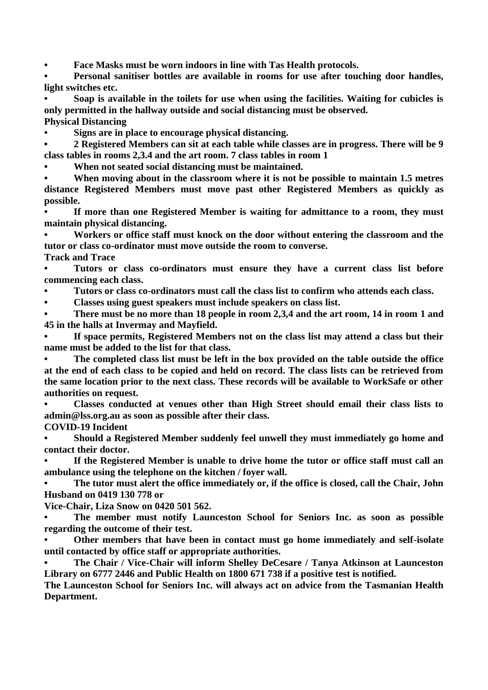**• Face Masks must be worn indoors in line with Tas Health protocols.** 

**• Personal sanitiser bottles are available in rooms for use after touching door handles, light switches etc.** 

**• Soap is available in the toilets for use when using the facilities. Waiting for cubicles is only permitted in the hallway outside and social distancing must be observed.** 

**Physical Distancing**

**• Signs are in place to encourage physical distancing.**

**• 2 Registered Members can sit at each table while classes are in progress. There will be 9 class tables in rooms 2,3.4 and the art room. 7 class tables in room 1** 

**• When not seated social distancing must be maintained.**

**• When moving about in the classroom where it is not be possible to maintain 1.5 metres distance Registered Members must move past other Registered Members as quickly as possible.**

**• If more than one Registered Member is waiting for admittance to a room, they must maintain physical distancing.**

**• Workers or office staff must knock on the door without entering the classroom and the tutor or class co-ordinator must move outside the room to converse.**

**Track and Trace**

**• Tutors or class co-ordinators must ensure they have a current class list before commencing each class.**

**• Tutors or class co-ordinators must call the class list to confirm who attends each class.**

**• Classes using guest speakers must include speakers on class list.**

**• There must be no more than 18 people in room 2,3,4 and the art room, 14 in room 1 and 45 in the halls at Invermay and Mayfield.**

**• If space permits, Registered Members not on the class list may attend a class but their name must be added to the list for that class.**

**• The completed class list must be left in the box provided on the table outside the office at the end of each class to be copied and held on record. The class lists can be retrieved from the same location prior to the next class. These records will be available to WorkSafe or other authorities on request.**

**• Classes conducted at venues other than High Street should email their class lists to admin@lss.org.au as soon as possible after their class.**

**COVID-19 Incident**

**• Should a Registered Member suddenly feel unwell they must immediately go home and contact their doctor.**

**• If the Registered Member is unable to drive home the tutor or office staff must call an ambulance using the telephone on the kitchen / foyer wall.**

**• The tutor must alert the office immediately or, if the office is closed, call the Chair, John Husband on 0419 130 778 or** 

**Vice-Chair, Liza Snow on 0420 501 562.**

**• The member must notify Launceston School for Seniors Inc. as soon as possible regarding the outcome of their test.**

**• Other members that have been in contact must go home immediately and self-isolate until contacted by office staff or appropriate authorities.** 

**• The Chair / Vice-Chair will inform Shelley DeCesare / Tanya Atkinson at Launceston Library on 6777 2446 and Public Health on 1800 671 738 if a positive test is notified.**

**The Launceston School for Seniors Inc. will always act on advice from the Tasmanian Health Department.**